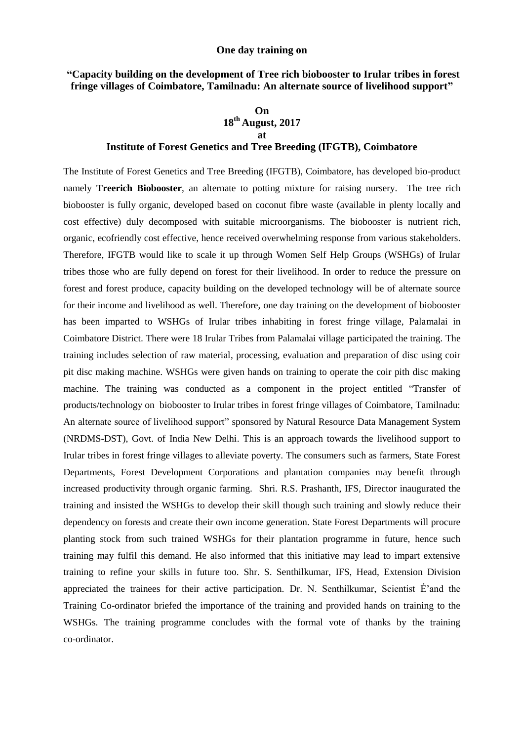## **One day training on**

## **"Capacity building on the development of Tree rich biobooster to Irular tribes in forest fringe villages of Coimbatore, Tamilnadu: An alternate source of livelihood support"**

## **On 18th August, 2017 at**

## **Institute of Forest Genetics and Tree Breeding (IFGTB), Coimbatore**

The Institute of Forest Genetics and Tree Breeding (IFGTB), Coimbatore, has developed bio-product namely **Treerich Biobooster**, an alternate to potting mixture for raising nursery. The tree rich biobooster is fully organic, developed based on coconut fibre waste (available in plenty locally and cost effective) duly decomposed with suitable microorganisms. The biobooster is nutrient rich, organic, ecofriendly cost effective, hence received overwhelming response from various stakeholders. Therefore, IFGTB would like to scale it up through Women Self Help Groups (WSHGs) of Irular tribes those who are fully depend on forest for their livelihood. In order to reduce the pressure on forest and forest produce, capacity building on the developed technology will be of alternate source for their income and livelihood as well. Therefore, one day training on the development of biobooster has been imparted to WSHGs of Irular tribes inhabiting in forest fringe village, Palamalai in Coimbatore District. There were 18 Irular Tribes from Palamalai village participated the training. The training includes selection of raw material, processing, evaluation and preparation of disc using coir pit disc making machine. WSHGs were given hands on training to operate the coir pith disc making machine. The training was conducted as a component in the project entitled "Transfer of products/technology on biobooster to Irular tribes in forest fringe villages of Coimbatore, Tamilnadu: An alternate source of livelihood support" sponsored by Natural Resource Data Management System (NRDMS-DST), Govt. of India New Delhi. This is an approach towards the livelihood support to Irular tribes in forest fringe villages to alleviate poverty. The consumers such as farmers, State Forest Departments, Forest Development Corporations and plantation companies may benefit through increased productivity through organic farming. Shri. R.S. Prashanth, IFS, Director inaugurated the training and insisted the WSHGs to develop their skill though such training and slowly reduce their dependency on forests and create their own income generation. State Forest Departments will procure planting stock from such trained WSHGs for their plantation programme in future, hence such training may fulfil this demand. He also informed that this initiative may lead to impart extensive training to refine your skills in future too. Shr. S. Senthilkumar, IFS, Head, Extension Division appreciated the trainees for their active participation. Dr. N. Senthilkumar, Scientist É'and the Training Co-ordinator briefed the importance of the training and provided hands on training to the WSHGs. The training programme concludes with the formal vote of thanks by the training co-ordinator.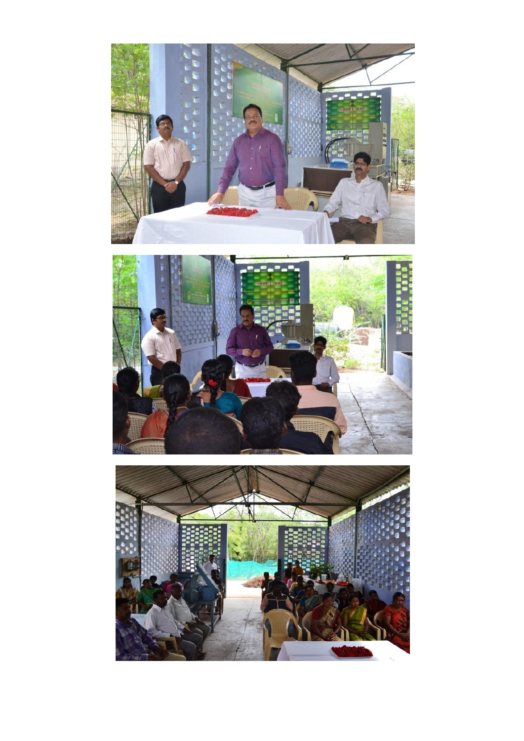



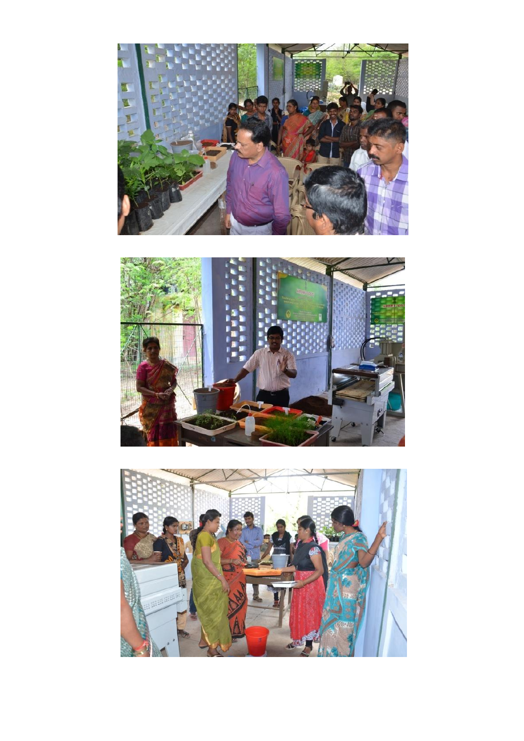